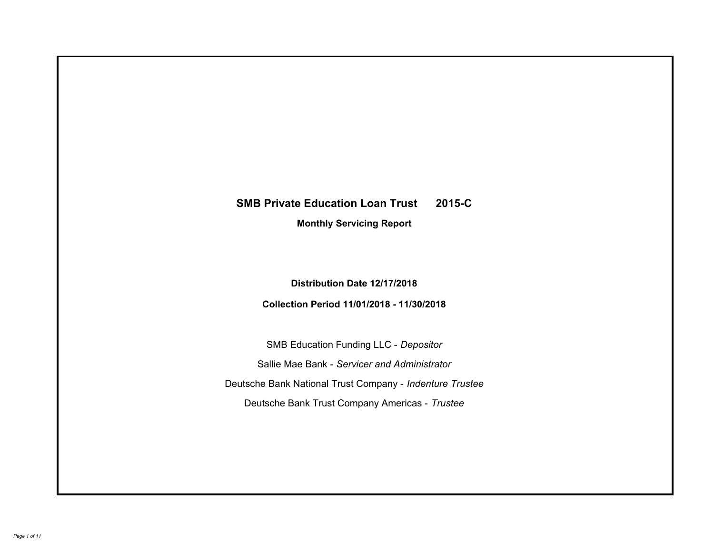# **SMB Private Education Loan Trust 2015-C Monthly Servicing Report**

**Distribution Date 12/17/2018**

**Collection Period 11/01/2018 - 11/30/2018**

SMB Education Funding LLC - *Depositor* Sallie Mae Bank - *Servicer and Administrator* Deutsche Bank National Trust Company - *Indenture Trustee* Deutsche Bank Trust Company Americas - *Trustee*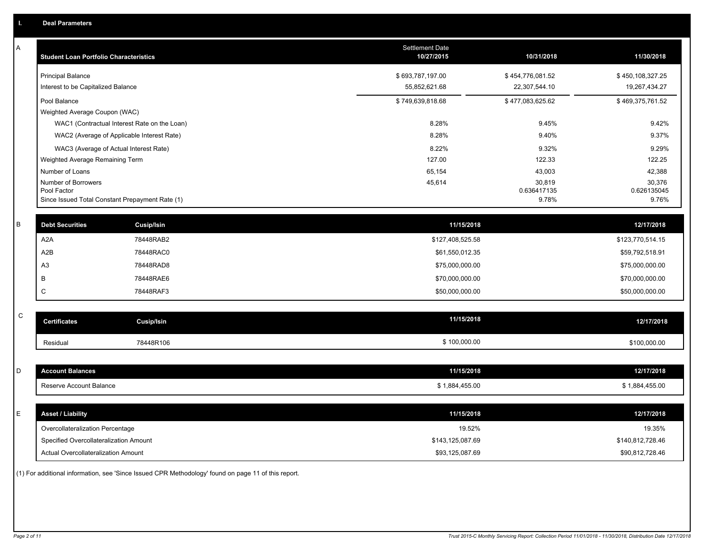| A         | <b>Student Loan Portfolio Characteristics</b>   |                                              | <b>Settlement Date</b><br>10/27/2015 | 10/31/2018           | 11/30/2018           |
|-----------|-------------------------------------------------|----------------------------------------------|--------------------------------------|----------------------|----------------------|
|           | <b>Principal Balance</b>                        |                                              | \$693,787,197.00                     | \$454,776,081.52     | \$450,108,327.25     |
|           | Interest to be Capitalized Balance              |                                              | 55,852,621.68                        | 22,307,544.10        | 19,267,434.27        |
|           | Pool Balance                                    |                                              | \$749,639,818.68                     | \$477,083,625.62     | \$469,375,761.52     |
|           | Weighted Average Coupon (WAC)                   |                                              |                                      |                      |                      |
|           |                                                 | WAC1 (Contractual Interest Rate on the Loan) | 8.28%                                | 9.45%                | 9.42%                |
|           |                                                 | WAC2 (Average of Applicable Interest Rate)   | 8.28%                                | 9.40%                | 9.37%                |
|           | WAC3 (Average of Actual Interest Rate)          |                                              | 8.22%                                | 9.32%                | 9.29%                |
|           | Weighted Average Remaining Term                 |                                              | 127.00                               | 122.33               | 122.25               |
|           | Number of Loans                                 |                                              | 65,154                               | 43,003               | 42,388               |
|           | Number of Borrowers<br>Pool Factor              |                                              | 45,614                               | 30,819               | 30,376               |
|           | Since Issued Total Constant Prepayment Rate (1) |                                              |                                      | 0.636417135<br>9.78% | 0.626135045<br>9.76% |
|           |                                                 |                                              |                                      |                      |                      |
| В         | <b>Debt Securities</b>                          | Cusip/Isin                                   | 11/15/2018                           |                      | 12/17/2018           |
|           | A <sub>2</sub> A                                | 78448RAB2                                    | \$127,408,525.58                     |                      | \$123,770,514.15     |
|           | A <sub>2</sub> B                                | 78448RAC0                                    | \$61,550,012.35                      |                      | \$59,792,518.91      |
|           | A <sub>3</sub>                                  | 78448RAD8                                    | \$75,000,000.00                      |                      | \$75,000,000.00      |
|           | В                                               | 78448RAE6                                    | \$70,000,000.00                      |                      | \$70,000,000.00      |
|           | C                                               | 78448RAF3                                    | \$50,000,000.00                      |                      | \$50,000,000.00      |
|           |                                                 |                                              |                                      |                      |                      |
| ${\bf C}$ | <b>Certificates</b>                             | Cusip/Isin                                   | 11/15/2018                           |                      | 12/17/2018           |
|           | Residual                                        | 78448R106                                    | \$100,000.00                         |                      | \$100,000.00         |
|           |                                                 |                                              |                                      |                      |                      |
| D         | <b>Account Balances</b>                         |                                              | 11/15/2018                           |                      | 12/17/2018           |
|           | Reserve Account Balance                         |                                              | \$1,884,455.00                       |                      | \$1,884,455.00       |
|           |                                                 |                                              |                                      |                      |                      |
| Е         | <b>Asset / Liability</b>                        |                                              | 11/15/2018                           |                      | 12/17/2018           |
|           | Overcollateralization Percentage                |                                              | 19.52%                               |                      | 19.35%               |
|           | Specified Overcollateralization Amount          |                                              | \$143,125,087.69                     |                      | \$140,812,728.46     |
|           | Actual Overcollateralization Amount             |                                              | \$93,125,087.69                      |                      | \$90,812,728.46      |
|           |                                                 |                                              |                                      |                      |                      |

(1) For additional information, see 'Since Issued CPR Methodology' found on page 11 of this report.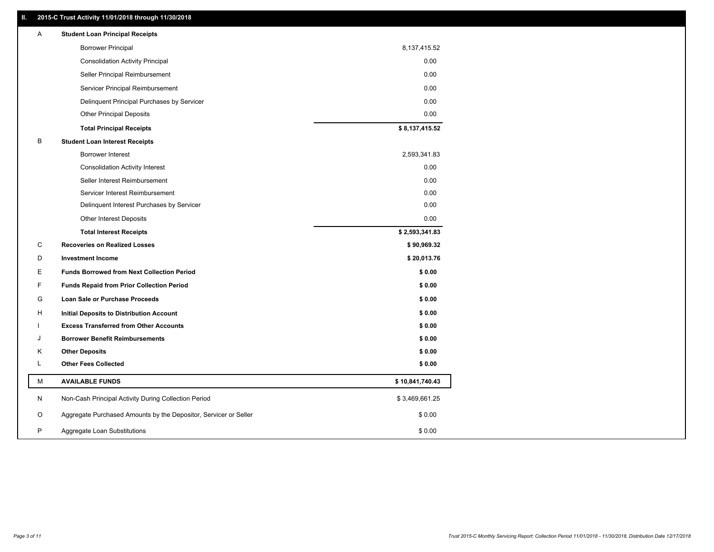# **II. 2015-C Trust Activity 11/01/2018 through 11/30/2018**

| Α<br><b>Student Loan Principal Receipts</b>                           |                 |
|-----------------------------------------------------------------------|-----------------|
| <b>Borrower Principal</b>                                             | 8,137,415.52    |
| <b>Consolidation Activity Principal</b>                               | 0.00            |
| Seller Principal Reimbursement                                        | 0.00            |
| Servicer Principal Reimbursement                                      | 0.00            |
| Delinquent Principal Purchases by Servicer                            | 0.00            |
| <b>Other Principal Deposits</b>                                       | 0.00            |
| <b>Total Principal Receipts</b>                                       | \$8,137,415.52  |
| в<br><b>Student Loan Interest Receipts</b>                            |                 |
| Borrower Interest                                                     | 2,593,341.83    |
| <b>Consolidation Activity Interest</b>                                | 0.00            |
| Seller Interest Reimbursement                                         | 0.00            |
| Servicer Interest Reimbursement                                       | 0.00            |
| Delinquent Interest Purchases by Servicer                             | 0.00            |
| Other Interest Deposits                                               | 0.00            |
| <b>Total Interest Receipts</b>                                        | \$2,593,341.83  |
| C<br><b>Recoveries on Realized Losses</b>                             | \$90,969.32     |
| D<br><b>Investment Income</b>                                         | \$20,013.76     |
| Е<br><b>Funds Borrowed from Next Collection Period</b>                | \$0.00          |
| F<br><b>Funds Repaid from Prior Collection Period</b>                 | \$0.00          |
| G<br>Loan Sale or Purchase Proceeds                                   | \$0.00          |
| н<br>Initial Deposits to Distribution Account                         | \$0.00          |
| <b>Excess Transferred from Other Accounts</b>                         | \$0.00          |
| <b>Borrower Benefit Reimbursements</b><br>J                           | \$0.00          |
| Κ<br><b>Other Deposits</b>                                            | \$0.00          |
| Г<br><b>Other Fees Collected</b>                                      | \$0.00          |
| М<br><b>AVAILABLE FUNDS</b>                                           | \$10,841,740.43 |
| N<br>Non-Cash Principal Activity During Collection Period             | \$3,469,661.25  |
| Aggregate Purchased Amounts by the Depositor, Servicer or Seller<br>O | \$0.00          |
| P<br>Aggregate Loan Substitutions                                     | \$0.00          |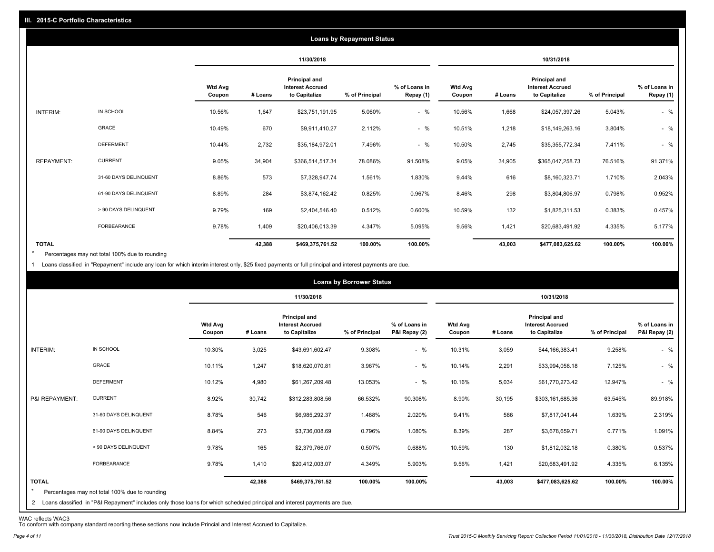|                   |                       |                          |         |                                                           | <b>Loans by Repayment Status</b> |                            |                          |         |                                                           |                |                            |
|-------------------|-----------------------|--------------------------|---------|-----------------------------------------------------------|----------------------------------|----------------------------|--------------------------|---------|-----------------------------------------------------------|----------------|----------------------------|
|                   |                       |                          |         | 11/30/2018                                                |                                  |                            |                          |         | 10/31/2018                                                |                |                            |
|                   |                       | <b>Wtd Avg</b><br>Coupon | # Loans | Principal and<br><b>Interest Accrued</b><br>to Capitalize | % of Principal                   | % of Loans in<br>Repay (1) | <b>Wtd Avg</b><br>Coupon | # Loans | Principal and<br><b>Interest Accrued</b><br>to Capitalize | % of Principal | % of Loans in<br>Repay (1) |
| INTERIM:          | IN SCHOOL             | 10.56%                   | 1,647   | \$23,751,191.95                                           | 5.060%                           | $-$ %                      | 10.56%                   | 1,668   | \$24,057,397.26                                           | 5.043%         | $-$ %                      |
|                   | <b>GRACE</b>          | 10.49%                   | 670     | \$9,911,410.27                                            | 2.112%                           | $-$ %                      | 10.51%                   | 1,218   | \$18,149,263.16                                           | 3.804%         | $-$ %                      |
|                   | <b>DEFERMENT</b>      | 10.44%                   | 2,732   | \$35,184,972.01                                           | 7.496%                           | $-$ %                      | 10.50%                   | 2,745   | \$35,355,772.34                                           | 7.411%         | $-$ %                      |
| <b>REPAYMENT:</b> | <b>CURRENT</b>        | 9.05%                    | 34,904  | \$366,514,517.34                                          | 78.086%                          | 91.508%                    | 9.05%                    | 34,905  | \$365,047,258.73                                          | 76.516%        | 91.371%                    |
|                   | 31-60 DAYS DELINQUENT | 8.86%                    | 573     | \$7,328,947.74                                            | 1.561%                           | 1.830%                     | 9.44%                    | 616     | \$8,160,323.71                                            | 1.710%         | 2.043%                     |
|                   | 61-90 DAYS DELINQUENT | 8.89%                    | 284     | \$3,874,162.42                                            | 0.825%                           | 0.967%                     | 8.46%                    | 298     | \$3,804,806.97                                            | 0.798%         | 0.952%                     |
|                   | > 90 DAYS DELINQUENT  | 9.79%                    | 169     | \$2,404,546.40                                            | 0.512%                           | 0.600%                     | 10.59%                   | 132     | \$1,825,311.53                                            | 0.383%         | 0.457%                     |
|                   | FORBEARANCE           | 9.78%                    | 1,409   | \$20,406,013.39                                           | 4.347%                           | 5.095%                     | 9.56%                    | 1,421   | \$20,683,491.92                                           | 4.335%         | 5.177%                     |
| <b>TOTAL</b>      |                       |                          | 42,388  | \$469,375,761.52                                          | 100.00%                          | 100.00%                    |                          | 43,003  | \$477,083,625.62                                          | 100.00%        | 100.00%                    |

Percentages may not total 100% due to rounding  $\star$ 

1 Loans classified in "Repayment" include any loan for which interim interest only, \$25 fixed payments or full principal and interest payments are due.

|                         |                                                                                                                              |                          |         |                                                           | <b>Loans by Borrower Status</b> |                                |                          |         |                                                                  |                |                                |
|-------------------------|------------------------------------------------------------------------------------------------------------------------------|--------------------------|---------|-----------------------------------------------------------|---------------------------------|--------------------------------|--------------------------|---------|------------------------------------------------------------------|----------------|--------------------------------|
|                         |                                                                                                                              |                          |         | 11/30/2018                                                |                                 |                                |                          |         | 10/31/2018                                                       |                |                                |
|                         |                                                                                                                              | <b>Wtd Avg</b><br>Coupon | # Loans | Principal and<br><b>Interest Accrued</b><br>to Capitalize | % of Principal                  | % of Loans in<br>P&I Repay (2) | <b>Wtd Avg</b><br>Coupon | # Loans | <b>Principal and</b><br><b>Interest Accrued</b><br>to Capitalize | % of Principal | % of Loans in<br>P&I Repay (2) |
| INTERIM:                | IN SCHOOL                                                                                                                    | 10.30%                   | 3,025   | \$43,691,602.47                                           | 9.308%                          | $-$ %                          | 10.31%                   | 3,059   | \$44,166,383.41                                                  | 9.258%         | $-$ %                          |
|                         | GRACE                                                                                                                        | 10.11%                   | 1,247   | \$18,620,070.81                                           | 3.967%                          | $-$ %                          | 10.14%                   | 2,291   | \$33,994,058.18                                                  | 7.125%         | $-$ %                          |
|                         | <b>DEFERMENT</b>                                                                                                             | 10.12%                   | 4,980   | \$61,267,209.48                                           | 13.053%                         | $-$ %                          | 10.16%                   | 5,034   | \$61,770,273.42                                                  | 12.947%        | $-$ %                          |
| P&I REPAYMENT:          | <b>CURRENT</b>                                                                                                               | 8.92%                    | 30,742  | \$312,283,808.56                                          | 66.532%                         | 90.308%                        | 8.90%                    | 30,195  | \$303,161,685.36                                                 | 63.545%        | 89.918%                        |
|                         | 31-60 DAYS DELINQUENT                                                                                                        | 8.78%                    | 546     | \$6,985,292.37                                            | 1.488%                          | 2.020%                         | 9.41%                    | 586     | \$7,817,041.44                                                   | 1.639%         | 2.319%                         |
|                         | 61-90 DAYS DELINQUENT                                                                                                        | 8.84%                    | 273     | \$3,736,008.69                                            | 0.796%                          | 1.080%                         | 8.39%                    | 287     | \$3,678,659.71                                                   | 0.771%         | 1.091%                         |
|                         | > 90 DAYS DELINQUENT                                                                                                         | 9.78%                    | 165     | \$2,379,766.07                                            | 0.507%                          | 0.688%                         | 10.59%                   | 130     | \$1,812,032.18                                                   | 0.380%         | 0.537%                         |
|                         | FORBEARANCE                                                                                                                  | 9.78%                    | 1,410   | \$20,412,003.07                                           | 4.349%                          | 5.903%                         | 9.56%                    | 1,421   | \$20,683,491.92                                                  | 4.335%         | 6.135%                         |
| <b>TOTAL</b><br>$\star$ | Percentages may not total 100% due to rounding                                                                               |                          | 42,388  | \$469,375,761.52                                          | 100.00%                         | 100.00%                        |                          | 43,003  | \$477,083,625.62                                                 | 100.00%        | 100.00%                        |
|                         | 2 Loans classified in "P&I Repayment" includes only those loans for which scheduled principal and interest payments are due. |                          |         |                                                           |                                 |                                |                          |         |                                                                  |                |                                |

WAC reflects WAC3 To conform with company standard reporting these sections now include Princial and Interest Accrued to Capitalize.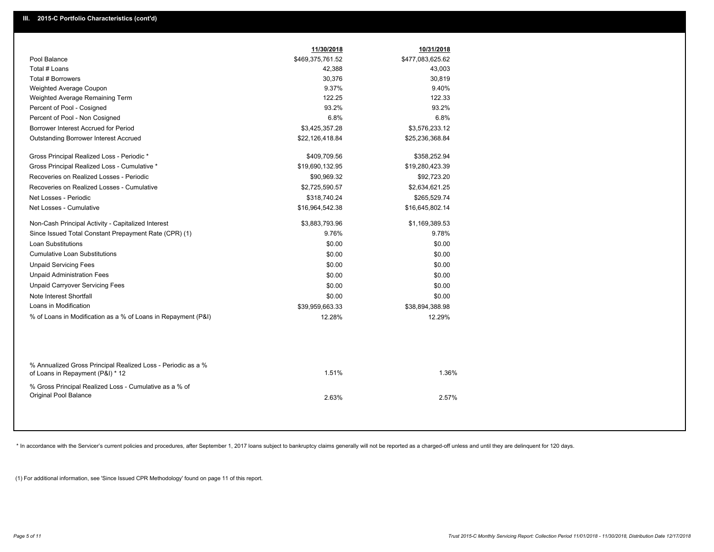|                                                                                                  | 11/30/2018       | 10/31/2018       |  |
|--------------------------------------------------------------------------------------------------|------------------|------------------|--|
| Pool Balance                                                                                     | \$469,375,761.52 | \$477,083,625.62 |  |
| Total # Loans                                                                                    | 42,388           | 43,003           |  |
| <b>Total # Borrowers</b>                                                                         | 30,376           | 30,819           |  |
| Weighted Average Coupon                                                                          | 9.37%            | 9.40%            |  |
| Weighted Average Remaining Term                                                                  | 122.25           | 122.33           |  |
| Percent of Pool - Cosigned                                                                       | 93.2%            | 93.2%            |  |
| Percent of Pool - Non Cosigned                                                                   | 6.8%             | 6.8%             |  |
| Borrower Interest Accrued for Period                                                             | \$3,425,357.28   | \$3,576,233.12   |  |
| <b>Outstanding Borrower Interest Accrued</b>                                                     | \$22,126,418.84  | \$25,236,368.84  |  |
| Gross Principal Realized Loss - Periodic *                                                       | \$409,709.56     | \$358,252.94     |  |
| Gross Principal Realized Loss - Cumulative *                                                     | \$19,690,132.95  | \$19,280,423.39  |  |
| Recoveries on Realized Losses - Periodic                                                         | \$90,969.32      | \$92,723.20      |  |
| Recoveries on Realized Losses - Cumulative                                                       | \$2,725,590.57   | \$2,634,621.25   |  |
| Net Losses - Periodic                                                                            | \$318,740.24     | \$265,529.74     |  |
| Net Losses - Cumulative                                                                          | \$16,964,542.38  | \$16,645,802.14  |  |
| Non-Cash Principal Activity - Capitalized Interest                                               | \$3,883,793.96   | \$1,169,389.53   |  |
| Since Issued Total Constant Prepayment Rate (CPR) (1)                                            | 9.76%            | 9.78%            |  |
| Loan Substitutions                                                                               | \$0.00           | \$0.00           |  |
| <b>Cumulative Loan Substitutions</b>                                                             | \$0.00           | \$0.00           |  |
| <b>Unpaid Servicing Fees</b>                                                                     | \$0.00           | \$0.00           |  |
| <b>Unpaid Administration Fees</b>                                                                | \$0.00           | \$0.00           |  |
| <b>Unpaid Carryover Servicing Fees</b>                                                           | \$0.00           | \$0.00           |  |
| Note Interest Shortfall                                                                          | \$0.00           | \$0.00           |  |
| Loans in Modification                                                                            | \$39,959,663.33  | \$38,894,388.98  |  |
| % of Loans in Modification as a % of Loans in Repayment (P&I)                                    | 12.28%           | 12.29%           |  |
|                                                                                                  |                  |                  |  |
| % Annualized Gross Principal Realized Loss - Periodic as a %<br>of Loans in Repayment (P&I) * 12 | 1.51%            | 1.36%            |  |
|                                                                                                  |                  |                  |  |
| % Gross Principal Realized Loss - Cumulative as a % of<br>Original Pool Balance                  | 2.63%            | 2.57%            |  |
|                                                                                                  |                  |                  |  |

\* In accordance with the Servicer's current policies and procedures, after September 1, 2017 loans subject to bankruptcy claims generally will not be reported as a charged-off unless and until they are delinquent for 120 d

(1) For additional information, see 'Since Issued CPR Methodology' found on page 11 of this report.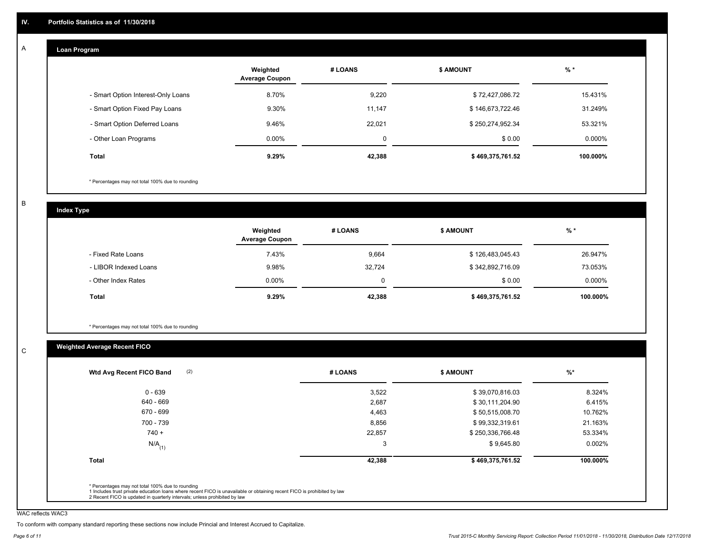#### **Loan Program**  A

|                                    | Weighted<br><b>Average Coupon</b> | # LOANS | <b>\$ AMOUNT</b> | $%$ *     |
|------------------------------------|-----------------------------------|---------|------------------|-----------|
| - Smart Option Interest-Only Loans | 8.70%                             | 9,220   | \$72,427,086.72  | 15.431%   |
| - Smart Option Fixed Pay Loans     | 9.30%                             | 11,147  | \$146,673,722.46 | 31.249%   |
| - Smart Option Deferred Loans      | 9.46%                             | 22.021  | \$250,274,952.34 | 53.321%   |
| - Other Loan Programs              | $0.00\%$                          | 0       | \$0.00           | $0.000\%$ |
| Total                              | $9.29\%$                          | 42,388  | \$469,375,761.52 | 100.000%  |

\* Percentages may not total 100% due to rounding

B

C

**Index Type**

|                       | Weighted<br><b>Average Coupon</b> | # LOANS  | \$ AMOUNT        | $%$ *    |
|-----------------------|-----------------------------------|----------|------------------|----------|
| - Fixed Rate Loans    | 7.43%                             | 9,664    | \$126,483,045.43 | 26.947%  |
| - LIBOR Indexed Loans | 9.98%                             | 32,724   | \$342,892,716.09 | 73.053%  |
| - Other Index Rates   | $0.00\%$                          | $\Omega$ | \$0.00           | 0.000%   |
| Total                 | 9.29%                             | 42,388   | \$469,375,761.52 | 100.000% |

\* Percentages may not total 100% due to rounding

# **Weighted Average Recent FICO**

|                      |        |                  | $%$ *    |
|----------------------|--------|------------------|----------|
| $0 - 639$            | 3,522  | \$39,070,816.03  | 8.324%   |
| 640 - 669            | 2,687  | \$30,111,204.90  | 6.415%   |
| 670 - 699            | 4,463  | \$50,515,008.70  | 10.762%  |
| 700 - 739            | 8,856  | \$99,332,319.61  | 21.163%  |
| $740 +$              | 22,857 | \$250,336,766.48 | 53.334%  |
| $N/A$ <sub>(1)</sub> | 3      | \$9,645.80       | 0.002%   |
| <b>Total</b>         | 42,388 | \$469,375,761.52 | 100.000% |

WAC reflects WAC3

To conform with company standard reporting these sections now include Princial and Interest Accrued to Capitalize.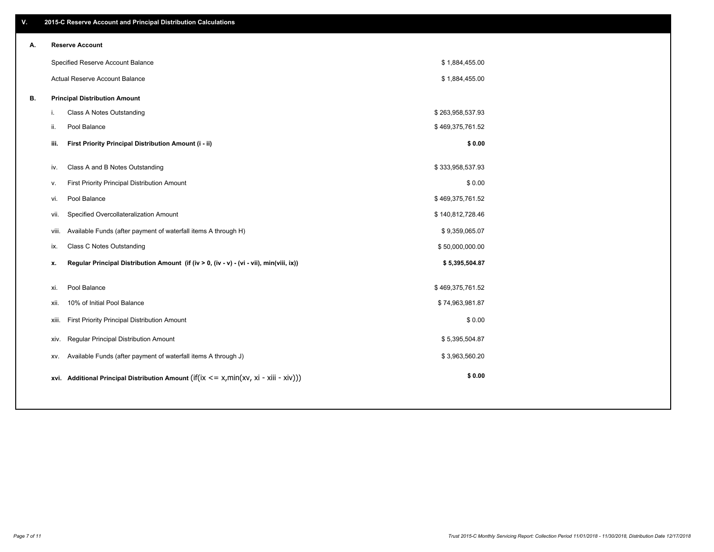| V. |     | 2015-C Reserve Account and Principal Distribution Calculations                             |                  |  |
|----|-----|--------------------------------------------------------------------------------------------|------------------|--|
| А. |     | <b>Reserve Account</b>                                                                     |                  |  |
|    |     | Specified Reserve Account Balance                                                          | \$1,884,455.00   |  |
|    |     | Actual Reserve Account Balance                                                             | \$1,884,455.00   |  |
| В. |     | <b>Principal Distribution Amount</b>                                                       |                  |  |
|    | j.  | Class A Notes Outstanding                                                                  | \$263,958,537.93 |  |
|    | ii. | Pool Balance                                                                               | \$469,375,761.52 |  |
|    |     | First Priority Principal Distribution Amount (i - ii)<br>iii.                              | \$0.00           |  |
|    |     | Class A and B Notes Outstanding<br>iv.                                                     | \$333,958,537.93 |  |
|    | v.  | First Priority Principal Distribution Amount                                               | \$0.00           |  |
|    |     | Pool Balance<br>vi.                                                                        | \$469,375,761.52 |  |
|    |     | Specified Overcollateralization Amount<br>vii.                                             | \$140,812,728.46 |  |
|    |     | Available Funds (after payment of waterfall items A through H)<br>viii.                    | \$9,359,065.07   |  |
|    |     | <b>Class C Notes Outstanding</b><br>ix.                                                    | \$50,000,000.00  |  |
|    | х.  | Regular Principal Distribution Amount (if (iv > 0, (iv - v) - (vi - vii), min(viii, ix))   | \$5,395,504.87   |  |
|    |     |                                                                                            |                  |  |
|    |     | Pool Balance<br>xi.                                                                        | \$469,375,761.52 |  |
|    |     | 10% of Initial Pool Balance<br>xii.                                                        | \$74,963,981.87  |  |
|    |     | First Priority Principal Distribution Amount<br>xiii.                                      | \$0.00           |  |
|    |     | Regular Principal Distribution Amount<br>XIV.                                              | \$5,395,504.87   |  |
|    |     | Available Funds (after payment of waterfall items A through J)<br>XV.                      | \$3,963,560.20   |  |
|    |     | xvi. Additional Principal Distribution Amount (if(ix $\lt$ = x, min(xv, xi - xiii - xiv))) | \$0.00           |  |
|    |     |                                                                                            |                  |  |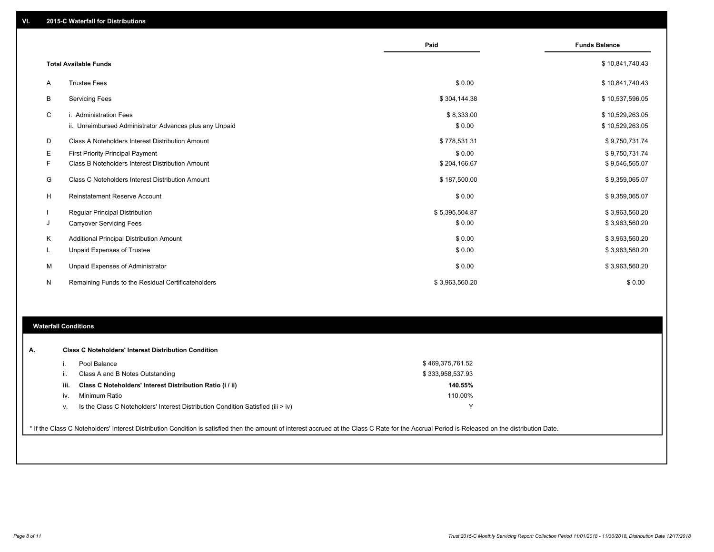|        |                                                                                             | Paid                     | <b>Funds Balance</b>               |
|--------|---------------------------------------------------------------------------------------------|--------------------------|------------------------------------|
|        | <b>Total Available Funds</b>                                                                |                          | \$10,841,740.43                    |
| A      | <b>Trustee Fees</b>                                                                         | \$0.00                   | \$10,841,740.43                    |
| B      | <b>Servicing Fees</b>                                                                       | \$304,144.38             | \$10,537,596.05                    |
| C      | i. Administration Fees<br>ii. Unreimbursed Administrator Advances plus any Unpaid           | \$8,333.00<br>\$0.00     | \$10,529,263.05<br>\$10,529,263.05 |
| D      | Class A Noteholders Interest Distribution Amount                                            | \$778,531.31             | \$9,750,731.74                     |
| Ε<br>F | <b>First Priority Principal Payment</b><br>Class B Noteholders Interest Distribution Amount | \$0.00<br>\$204,166.67   | \$9,750,731.74<br>\$9,546,565.07   |
| G      | Class C Noteholders Interest Distribution Amount                                            | \$187,500.00             | \$9,359,065.07                     |
| H      | Reinstatement Reserve Account                                                               | \$0.00                   | \$9,359,065.07                     |
| J      | <b>Regular Principal Distribution</b><br><b>Carryover Servicing Fees</b>                    | \$5,395,504.87<br>\$0.00 | \$3,963,560.20<br>\$3,963,560.20   |
| Κ<br>L | Additional Principal Distribution Amount<br><b>Unpaid Expenses of Trustee</b>               | \$0.00<br>\$0.00         | \$3,963,560.20<br>\$3,963,560.20   |
| м      | Unpaid Expenses of Administrator                                                            | \$0.00                   | \$3,963,560.20                     |
| N      | Remaining Funds to the Residual Certificateholders                                          | \$3,963,560.20           | \$0.00                             |

# **Waterfall Conditions**

л

|      | Pool Balance                                                                     | \$469,375,761.52 |  |
|------|----------------------------------------------------------------------------------|------------------|--|
| ii.  | Class A and B Notes Outstanding                                                  | \$333,958,537.93 |  |
| iii. | Class C Noteholders' Interest Distribution Ratio (i / ii)                        | 140.55%          |  |
| İV.  | Minimum Ratio                                                                    | 110.00%          |  |
| v.   | Is the Class C Noteholders' Interest Distribution Condition Satisfied (iii > iv) | $\check{ }$      |  |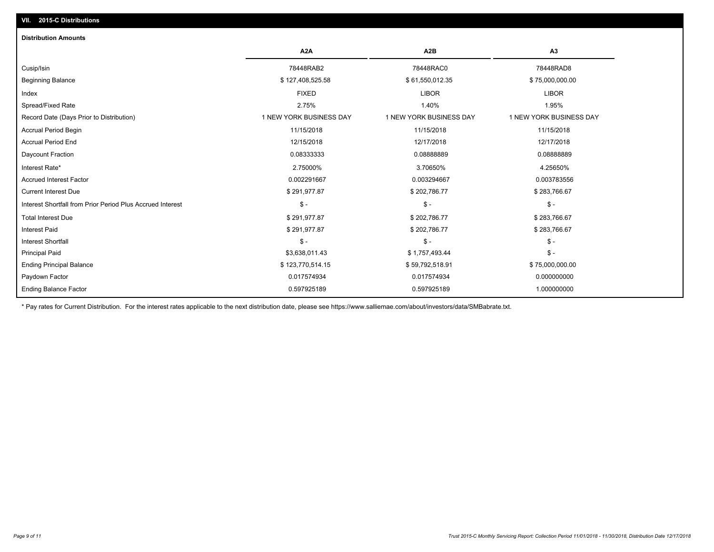# **VII. 2015-C Distributions**

| <b>Distribution Amounts</b>                                |                         |                         |                         |
|------------------------------------------------------------|-------------------------|-------------------------|-------------------------|
|                                                            | A <sub>2</sub> A        | A <sub>2</sub> B        | A3                      |
| Cusip/Isin                                                 | 78448RAB2               | 78448RAC0               | 78448RAD8               |
| <b>Beginning Balance</b>                                   | \$127,408,525.58        | \$61,550,012.35         | \$75,000,000.00         |
| Index                                                      | <b>FIXED</b>            | <b>LIBOR</b>            | <b>LIBOR</b>            |
| Spread/Fixed Rate                                          | 2.75%                   | 1.40%                   | 1.95%                   |
| Record Date (Days Prior to Distribution)                   | 1 NEW YORK BUSINESS DAY | 1 NEW YORK BUSINESS DAY | 1 NEW YORK BUSINESS DAY |
| <b>Accrual Period Begin</b>                                | 11/15/2018              | 11/15/2018              | 11/15/2018              |
| <b>Accrual Period End</b>                                  | 12/15/2018              | 12/17/2018              | 12/17/2018              |
| Daycount Fraction                                          | 0.08333333              | 0.0888889               | 0.08888889              |
| Interest Rate*                                             | 2.75000%                | 3.70650%                | 4.25650%                |
| <b>Accrued Interest Factor</b>                             | 0.002291667             | 0.003294667             | 0.003783556             |
| <b>Current Interest Due</b>                                | \$291,977.87            | \$202,786.77            | \$283,766.67            |
| Interest Shortfall from Prior Period Plus Accrued Interest | $\mathsf{\$}$ -         | $\frac{1}{2}$           | $\frac{1}{2}$           |
| <b>Total Interest Due</b>                                  | \$291,977.87            | \$202,786.77            | \$283,766.67            |
| <b>Interest Paid</b>                                       | \$291,977.87            | \$202,786.77            | \$283,766.67            |
| Interest Shortfall                                         | $\mathsf{\$}$ -         | $\mathsf{\$}$ -         | $\mathsf{\$}$ -         |
| <b>Principal Paid</b>                                      | \$3,638,011.43          | \$1,757,493.44          | $\mathsf{\$}$ -         |
| <b>Ending Principal Balance</b>                            | \$123,770,514.15        | \$59,792,518.91         | \$75,000,000.00         |
| Paydown Factor                                             | 0.017574934             | 0.017574934             | 0.000000000             |
| <b>Ending Balance Factor</b>                               | 0.597925189             | 0.597925189             | 1.000000000             |

\* Pay rates for Current Distribution. For the interest rates applicable to the next distribution date, please see https://www.salliemae.com/about/investors/data/SMBabrate.txt.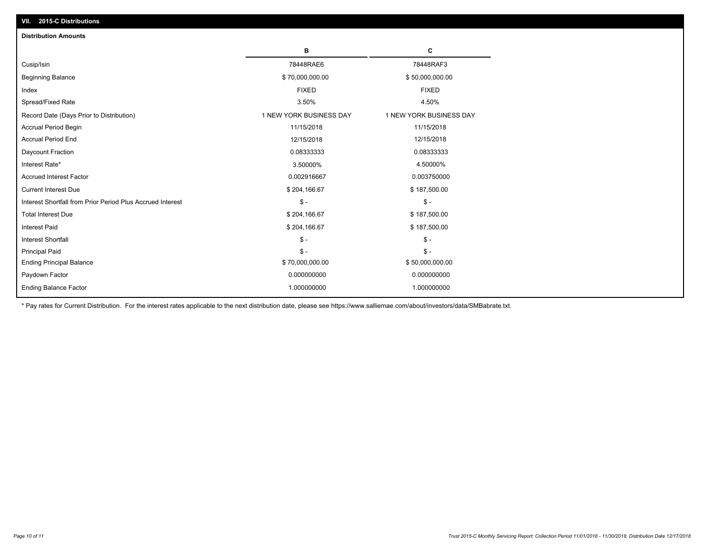| <b>Distribution Amounts</b>                                |                         |                         |
|------------------------------------------------------------|-------------------------|-------------------------|
|                                                            | в                       | C                       |
| Cusip/Isin                                                 | 78448RAE6               | 78448RAF3               |
| <b>Beginning Balance</b>                                   | \$70,000,000.00         | \$50,000,000.00         |
| Index                                                      | <b>FIXED</b>            | <b>FIXED</b>            |
| Spread/Fixed Rate                                          | 3.50%                   | 4.50%                   |
| Record Date (Days Prior to Distribution)                   | 1 NEW YORK BUSINESS DAY | 1 NEW YORK BUSINESS DAY |
| <b>Accrual Period Begin</b>                                | 11/15/2018              | 11/15/2018              |
| <b>Accrual Period End</b>                                  | 12/15/2018              | 12/15/2018              |
| Daycount Fraction                                          | 0.08333333              | 0.08333333              |
| Interest Rate*                                             | 3.50000%                | 4.50000%                |
| <b>Accrued Interest Factor</b>                             | 0.002916667             | 0.003750000             |
| <b>Current Interest Due</b>                                | \$204,166.67            | \$187,500.00            |
| Interest Shortfall from Prior Period Plus Accrued Interest | $\mathsf{\$}$ -         | $\mathsf{\$}$ -         |
| <b>Total Interest Due</b>                                  | \$204,166.67            | \$187,500.00            |
| <b>Interest Paid</b>                                       | \$204,166.67            | \$187,500.00            |
| <b>Interest Shortfall</b>                                  | $\mathsf{\$}$ -         | $\mathsf{\$}$ -         |
| <b>Principal Paid</b>                                      | $\mathsf{\$}$ -         | $\mathsf{\$}$ -         |
| <b>Ending Principal Balance</b>                            | \$70,000,000.00         | \$50,000,000.00         |
| Paydown Factor                                             | 0.000000000             | 0.000000000             |
| <b>Ending Balance Factor</b>                               | 1.000000000             | 1.000000000             |

\* Pay rates for Current Distribution. For the interest rates applicable to the next distribution date, please see https://www.salliemae.com/about/investors/data/SMBabrate.txt.

**VII. 2015-C Distributions**